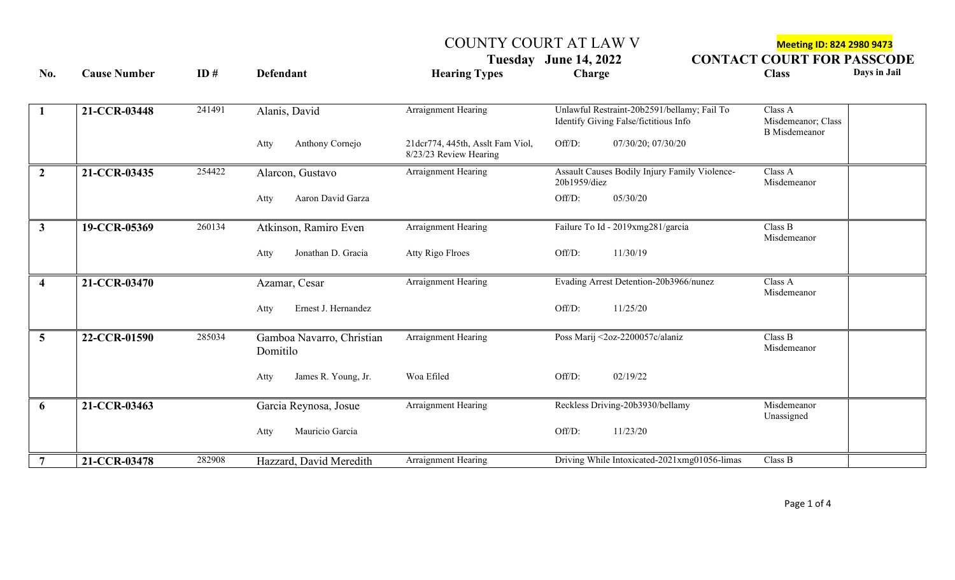COUNTY COURT AT LAW V<br>
Tuesday June 14, 2022 **CONTACT COURT FOR PASSCO CONTACT COURT FOR PASSCODE** 

| No.                     | <b>Cause Number</b> | ID#    | <b>Defendant</b>                      | <b>Hearing Types</b>                                       | Charge                                                                               | <b>Class</b>                                          | Days in Jail |
|-------------------------|---------------------|--------|---------------------------------------|------------------------------------------------------------|--------------------------------------------------------------------------------------|-------------------------------------------------------|--------------|
|                         |                     |        |                                       |                                                            |                                                                                      |                                                       |              |
| $\mathbf{1}$            | 21-CCR-03448        | 241491 | Alanis, David                         | Arraignment Hearing                                        | Unlawful Restraint-20b2591/bellamy; Fail To<br>Identify Giving False/fictitious Info | Class A<br>Misdemeanor; Class<br><b>B</b> Misdemeanor |              |
|                         |                     |        | Anthony Cornejo<br>Atty               | 21dcr774, 445th, Asslt Fam Viol,<br>8/23/23 Review Hearing | Off/D:<br>07/30/20; 07/30/20                                                         |                                                       |              |
| $\overline{2}$          | 21-CCR-03435        | 254422 | Alarcon, Gustavo                      | Arraignment Hearing                                        | Assault Causes Bodily Injury Family Violence-<br>20b1959/diez                        | Class A<br>Misdemeanor                                |              |
|                         |                     |        | Aaron David Garza<br>Atty             |                                                            | Off/D:<br>05/30/20                                                                   |                                                       |              |
| $\mathbf{3}$            | 19-CCR-05369        | 260134 | Atkinson, Ramiro Even                 | Arraignment Hearing                                        | Failure To Id - 2019xmg281/garcia                                                    | Class B<br>Misdemeanor                                |              |
|                         |                     |        | Jonathan D. Gracia<br>Atty            | <b>Atty Rigo Flroes</b>                                    | Off/D:<br>11/30/19                                                                   |                                                       |              |
| $\overline{\mathbf{4}}$ | 21-CCR-03470        |        | Azamar, Cesar                         | Arraignment Hearing                                        | Evading Arrest Detention-20b3966/nunez                                               | Class A<br>Misdemeanor                                |              |
|                         |                     |        | Ernest J. Hernandez<br>Atty           |                                                            | Off/D:<br>11/25/20                                                                   |                                                       |              |
| $\overline{5}$          | 22-CCR-01590        | 285034 | Gamboa Navarro, Christian<br>Domitilo | <b>Arraignment Hearing</b>                                 | Poss Marij <2oz-2200057c/alaniz                                                      | Class B<br>Misdemeanor                                |              |
|                         |                     |        | James R. Young, Jr.<br>Atty           | Woa Efiled                                                 | Off/D:<br>02/19/22                                                                   |                                                       |              |
| 6                       | 21-CCR-03463        |        | Garcia Reynosa, Josue                 | Arraignment Hearing                                        | Reckless Driving-20b3930/bellamy                                                     | Misdemeanor<br>Unassigned                             |              |
|                         |                     |        | Mauricio Garcia<br>Atty               |                                                            | 11/23/20<br>Off/D:                                                                   |                                                       |              |
| 7                       | 21-CCR-03478        | 282908 | Hazzard, David Meredith               | Arraignment Hearing                                        | Driving While Intoxicated-2021xmg01056-limas                                         | Class B                                               |              |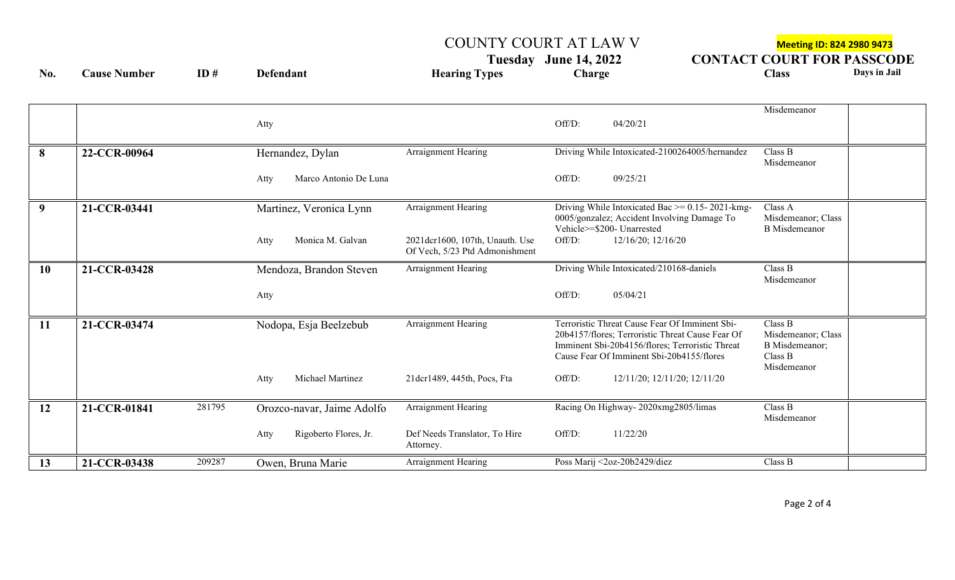## COUNTY COURT AT LAW V Meeting ID: 824 2980 9473

Tuesday June 14, 2022 CONTACT COURT FOR PASSCODE<br>
Charge Class Days in Jail

**No. Cause Number ID # Defendant Hearing Types Charge Class Days in Jail**

|           |                        |                               |                                                                   |                                                                                                                                                                                                    | Misdemeanor                                                               |
|-----------|------------------------|-------------------------------|-------------------------------------------------------------------|----------------------------------------------------------------------------------------------------------------------------------------------------------------------------------------------------|---------------------------------------------------------------------------|
|           |                        | Atty                          |                                                                   | Off/D:<br>04/20/21                                                                                                                                                                                 |                                                                           |
| 8         | 22-CCR-00964           | Hernandez, Dylan              | Arraignment Hearing                                               | Driving While Intoxicated-2100264005/hernandez                                                                                                                                                     | Class B<br>Misdemeanor                                                    |
|           |                        | Marco Antonio De Luna<br>Atty |                                                                   | Off/D:<br>09/25/21                                                                                                                                                                                 |                                                                           |
| 9         | 21-CCR-03441           | Martinez, Veronica Lynn       | Arraignment Hearing                                               | Driving While Intoxicated Bac >= 0.15-2021-kmg-<br>0005/gonzalez; Accident Involving Damage To<br>Vehicle>=\$200- Unarrested                                                                       | Class A<br>Misdemeanor; Class<br><b>B</b> Misdemeanor                     |
|           |                        | Monica M. Galvan<br>Atty      | 2021dcr1600, 107th, Unauth. Use<br>Of Vech, 5/23 Ptd Admonishment | Off/D:<br>12/16/20; 12/16/20                                                                                                                                                                       |                                                                           |
| <b>10</b> | 21-CCR-03428           | Mendoza, Brandon Steven       | Arraignment Hearing                                               | Driving While Intoxicated/210168-daniels                                                                                                                                                           | Class B<br>Misdemeanor                                                    |
|           |                        | Atty                          |                                                                   | Off/D:<br>05/04/21                                                                                                                                                                                 |                                                                           |
| 11        | 21-CCR-03474           | Nodopa, Esja Beelzebub        | Arraignment Hearing                                               | Terroristic Threat Cause Fear Of Imminent Sbi-<br>20b4157/flores; Terroristic Threat Cause Fear Of<br>Imminent Sbi-20b4156/flores; Terroristic Threat<br>Cause Fear Of Imminent Sbi-20b4155/flores | Class B<br>Misdemeanor; Class<br>B Misdemeanor;<br>Class B<br>Misdemeanor |
|           |                        | Michael Martinez<br>Atty      | 21dcr1489, 445th, Pocs, Fta                                       | Off/D:<br>12/11/20; 12/11/20; 12/11/20                                                                                                                                                             |                                                                           |
| 12        | 281795<br>21-CCR-01841 | Orozco-navar, Jaime Adolfo    | Arraignment Hearing                                               | Racing On Highway-2020xmg2805/limas                                                                                                                                                                | Class B<br>Misdemeanor                                                    |
|           |                        | Rigoberto Flores, Jr.<br>Atty | Def Needs Translator, To Hire<br>Attorney.                        | 11/22/20<br>Off/D:                                                                                                                                                                                 |                                                                           |
| 13        | 209287<br>21-CCR-03438 | Owen, Bruna Marie             | Arraignment Hearing                                               | Poss Marij <2oz-20b2429/diez                                                                                                                                                                       | Class B                                                                   |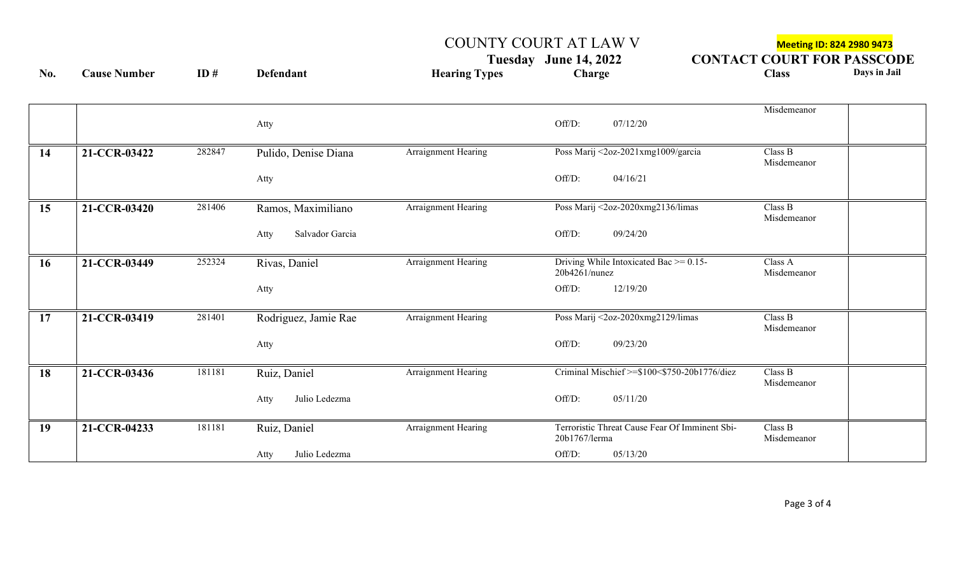COUNTY COURT AT LAW V<br>
Tuesday June 14, 2022 **CONTACT COURT FOR PASSCO CONTACT COURT FOR PASSCODE** 

| No.       | <b>Cause Number</b> | ID#    | <b>Defendant</b>        | <b>Hearing Types</b> | Charge                                                          | <b>Class</b>           | Days in Jail |
|-----------|---------------------|--------|-------------------------|----------------------|-----------------------------------------------------------------|------------------------|--------------|
|           |                     |        | Atty                    |                      | 07/12/20<br>Off/D:                                              | Misdemeanor            |              |
| 14        | 21-CCR-03422        | 282847 | Pulido, Denise Diana    | Arraignment Hearing  | Poss Marij <2oz-2021xmg1009/garcia                              | Class B<br>Misdemeanor |              |
|           |                     |        | Atty                    |                      | Off/D:<br>04/16/21                                              |                        |              |
| 15        | 21-CCR-03420        | 281406 | Ramos, Maximiliano      | Arraignment Hearing  | Poss Marij <2oz-2020xmg2136/limas                               | Class B<br>Misdemeanor |              |
|           |                     |        | Salvador Garcia<br>Atty |                      | Off/D:<br>09/24/20                                              |                        |              |
| <b>16</b> | 21-CCR-03449        | 252324 | Rivas, Daniel           | Arraignment Hearing  | Driving While Intoxicated Bac $\ge$ = 0.15-<br>20b4261/nunez    | Class A<br>Misdemeanor |              |
|           |                     |        | Atty                    |                      | Off/D:<br>12/19/20                                              |                        |              |
| 17        | 21-CCR-03419        | 281401 | Rodriguez, Jamie Rae    | Arraignment Hearing  | Poss Marij <2oz-2020xmg2129/limas                               | Class B<br>Misdemeanor |              |
|           |                     |        | Atty                    |                      | Off/D:<br>09/23/20                                              |                        |              |
| 18        | 21-CCR-03436        | 181181 | Ruiz, Daniel            | Arraignment Hearing  | Criminal Mischief >=\$100<\$750-20b1776/diez                    | Class B<br>Misdemeanor |              |
|           |                     |        | Julio Ledezma<br>Atty   |                      | Off/D:<br>05/11/20                                              |                        |              |
| 19        | 21-CCR-04233        | 181181 | Ruiz, Daniel            | Arraignment Hearing  | Terroristic Threat Cause Fear Of Imminent Sbi-<br>20b1767/lerma | Class B<br>Misdemeanor |              |
|           |                     |        | Julio Ledezma<br>Atty   |                      | Off/D:<br>05/13/20                                              |                        |              |